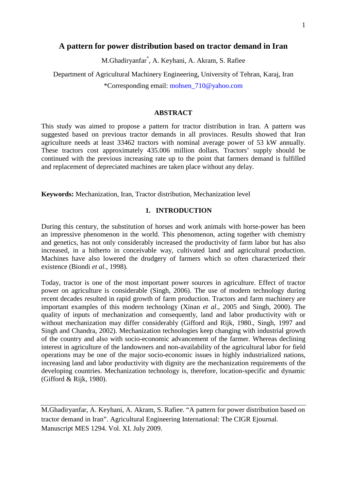# **A pattern for power distribution based on tractor demand in Iran**

M.Ghadiryanfar\* , A. Keyhani, A. Akram, S. Rafiee

Department of Agricultural Machinery Engineering, University of Tehran, Karaj, Iran \*Corresponding email: mohsen\_710@yahoo.com

## **ABSTRACT**

This study was aimed to propose a pattern for tractor distribution in Iran. A pattern was suggested based on previous tractor demands in all provinces. Results showed that Iran agriculture needs at least 33462 tractors with nominal average power of 53 kW annually. These tractors cost approximately 435.006 million dollars. Tractors' supply should be continued with the previous increasing rate up to the point that farmers demand is fulfilled and replacement of depreciated machines are taken place without any delay.

**Keywords:** Mechanization, Iran, Tractor distribution, Mechanization level

## **1. INTRODUCTION**

During this century, the substitution of horses and work animals with horse-power has been an impressive phenomenon in the world. This phenomenon, acting together with chemistry and genetics, has not only considerably increased the productivity of farm labor but has also increased, in a hitherto in conceivable way, cultivated land and agricultural production. Machines have also lowered the drudgery of farmers which so often characterized their existence (Biondi *et al.,* 1998).

Today, tractor is one of the most important power sources in agriculture. Effect of tractor power on agriculture is considerable (Singh, 2006). The use of modern technology during recent decades resulted in rapid growth of farm production. Tractors and farm machinery are important examples of this modern technology (Xinan *et al*., 2005 and Singh, 2000). The quality of inputs of mechanization and consequently, land and labor productivity with or without mechanization may differ considerably (Gifford and Rijk, 1980., Singh, 1997 and Singh and Chandra, 2002). Mechanization technologies keep changing with industrial growth of the country and also with socio-economic advancement of the farmer. Whereas declining interest in agriculture of the landowners and non-availability of the agricultural labor for field operations may be one of the major socio-economic issues in highly industrialized nations, increasing land and labor productivity with dignity are the mechanization requirements of the developing countries. Mechanization technology is, therefore, location-specific and dynamic (Gifford & Rijk, 1980).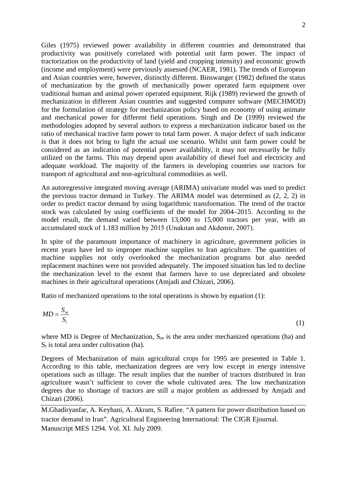Giles (1975) reviewed power availability in different countries and demonstrated that productivity was positively correlated with potential unit farm power. The impact of tractorization on the productivity of land (yield and cropping intensity) and economic growth (income and employment) were previously assessed (NCAER, 1981). The trends of European and Asian countries were, however, distinctly different. Binswanger (1982) defined the status of mechanization by the growth of mechanically power operated farm equipment over traditional human and animal power operated equipment. Rijk (1989) reviewed the growth of mechanization in different Asian countries and suggested computer software (MECHMOD) for the formulation of strategy for mechanization policy based on economy of using animate and mechanical power for different field operations. Singh and De (1999) reviewed the methodologies adopted by several authors to express a mechanization indicator based on the ratio of mechanical tractive farm power to total farm power. A major defect of such indicator is that it does not bring to light the actual use scenario. Whilst unit farm power could be considered as an indication of potential power availability, it may not necessarily be fully utilized on the farms. This may depend upon availability of diesel fuel and electricity and adequate workload. The majority of the farmers in developing countries use tractors for transport of agricultural and non-agricultural commodities as well.

An autoregressive integrated moving average (ARIMA) univariate model was used to predict the previous tractor demand in Turkey. The ARIMA model was determined as (2, 2, 2) in order to predict tractor demand by using logarithmic transformation. The trend of the tractor stock was calculated by using coefficients of the model for 2004–2015. According to the model result, the demand varied between 13,000 to 15,000 tractors per year, with an accumulated stock of 1.183 million by 2015 (Unakıtan and Akdemir, 2007).

In spite of the paramount importance of machinery in agriculture, government policies in recent years have led to improper machine supplies to Iran agriculture. The quantities of machine supplies not only overlooked the mechanization programs but also needed replacement machines were not provided adequately. The imposed situation has led to decline the mechanization level to the extent that farmers have to use depreciated and obsolete machines in their agricultural operations (Amjadi and Chizari, 2006).

Ratio of mechanized operations to the total operations is shown by equation (1):

$$
MD = \frac{S_m}{S_t} \tag{1}
$$

where MD is Degree of Mechanization,  $S_m$  is the area under mechanized operations (ha) and  $S_t$  is total area under cultivation (ha).

Degrees of Mechanization of main agricultural crops for 1995 are presented in Table 1. According to this table, mechanization degrees are very low except in energy intensive operations such as tillage. The result implies that the number of tractors distributed in Iran agriculture wasn't sufficient to cover the whole cultivated area. The low mechanization degrees due to shortage of tractors are still a major problem as addressed by Amjadi and Chizari (2006).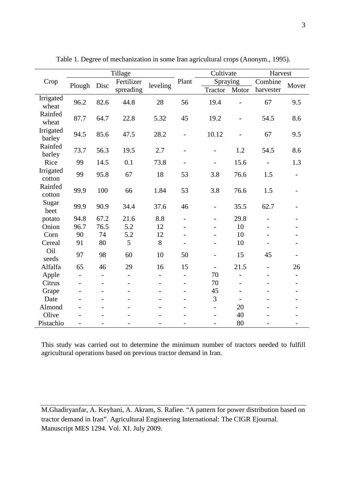|                     | Tillage                  |                          |                          |                          |                          | Cultivate                |       | Harvest        |                          |
|---------------------|--------------------------|--------------------------|--------------------------|--------------------------|--------------------------|--------------------------|-------|----------------|--------------------------|
| Crop                | Plough                   | Disc                     | Fertilizer<br>spreading  | leveling                 | Plant                    | Spraying                 |       | Combine        |                          |
|                     |                          |                          |                          |                          |                          | Tractor                  | Motor | harvester      | Mover                    |
| Irrigated<br>wheat  | 96.2                     | 82.6                     | 44.8                     | 28                       | 56                       | 19.4                     |       | 67             | 9.5                      |
| Rainfed<br>wheat    | 87.7                     | 64.7                     | 22.8                     | 5.32                     | 45                       | 19.2                     |       | 54.5           | 8.6                      |
| Irrigated<br>barley | 94.5                     | 85.6                     | 47.5                     | 28.2                     | $\overline{a}$           | 10.12                    |       | 67             | 9.5                      |
| Rainfed<br>barley   | 73.7                     | 56.3                     | 19.5                     | 2.7                      |                          |                          | 1.2   | 54.5           | 8.6                      |
| Rice                | 99                       | 14.5                     | 0.1                      | 73.8                     |                          |                          | 15.6  |                | 1.3                      |
| Irrigated<br>cotton | 99                       | 95.8                     | 67                       | 18                       | 53                       | 3.8                      | 76.6  | 1.5            |                          |
| Rainfed<br>cotton   | 99.9                     | 100                      | 66                       | 1.84                     | 53                       | 3.8                      | 76.6  | 1.5            |                          |
| Sugar<br>beet       | 99.9                     | 90.9                     | 34.4                     | 37.6                     | 46                       | $\overline{a}$           | 35.5  | 62.7           |                          |
| potato              | 94.8                     | 67.2                     | 21.6                     | 8.8                      |                          |                          | 29.8  |                |                          |
| Onion               | 96.7                     | 76.5                     | 5.2                      | 12                       |                          |                          | 10    |                |                          |
| Corn                | 90                       | 74                       | 5.2                      | 12                       |                          |                          | 10    |                |                          |
| Cereal              | 91                       | 80                       | 5                        | $8\,$                    |                          |                          | 10    |                |                          |
| Oil<br>seeds        | 97                       | 98                       | 60                       | 10                       | 50                       |                          | 15    | 45             |                          |
| Alfalfa             | 65                       | 46                       | 29                       | 16                       | 15                       | $\overline{\phantom{0}}$ | 21.5  | $\overline{a}$ | 26                       |
| Apple               | $\overline{\phantom{0}}$ | $\overline{\phantom{0}}$ | $\overline{\phantom{a}}$ | $\overline{\phantom{0}}$ | $\overline{\phantom{0}}$ | 70                       |       |                | $\overline{\phantom{0}}$ |
| Citrus              |                          |                          |                          |                          |                          | 70                       |       |                |                          |
| Grape               |                          |                          |                          |                          |                          | 45                       |       |                |                          |
| Date                |                          |                          |                          |                          |                          | 3                        |       |                |                          |
| Almond              |                          |                          |                          |                          |                          |                          | 20    |                |                          |
| Olive               |                          |                          |                          |                          |                          |                          | 40    |                |                          |
| Pistachio           |                          |                          |                          |                          |                          |                          | 80    |                |                          |

Table 1. Degree of mechanization in some Iran agricultural crops (Anonym., 1995).

This study was carried out to determine the minimum number of tractors needed to fulfill agricultural operations based on previous tractor demand in Iran.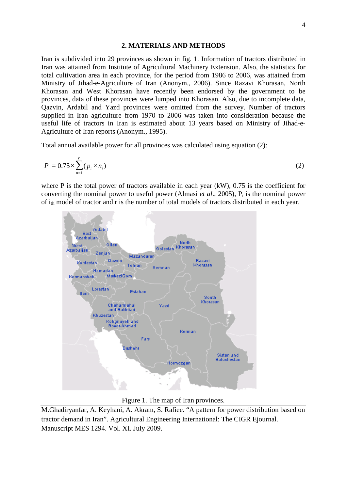#### **2. MATERIALS AND METHODS**

Iran is subdivided into 29 provinces as shown in fig. 1. Information of tractors distributed in Iran was attained from Institute of Agricultural Machinery Extension. Also, the statistics for total cultivation area in each province, for the period from 1986 to 2006, was attained from Ministry of Jihad-e-Agriculture of Iran (Anonym., 2006). Since Razavi Khorasan, North Khorasan and West Khorasan have recently been endorsed by the government to be provinces, data of these provinces were lumped into Khorasan. Also, due to incomplete data, Qazvin, Ardabil and Yazd provinces were omitted from the survey. Number of tractors supplied in Iran agriculture from 1970 to 2006 was taken into consideration because the useful life of tractors in Iran is estimated about 13 years based on Ministry of Jihad-e-Agriculture of Iran reports (Anonym., 1995).

Total annual available power for all provinces was calculated using equation (2):

$$
P = 0.75 \times \sum_{n=1}^{r} (p_i \times n_i) \tag{2}
$$

where P is the total power of tractors available in each year  $(kW)$ , 0.75 is the coefficient for converting the nominal power to useful power (Almasi *et al.*, 2005),  $P_i$  is the nominal power of i<sub>th</sub> model of tractor and r is the number of total models of tractors distributed in each year.



Figure 1. The map of Iran provinces.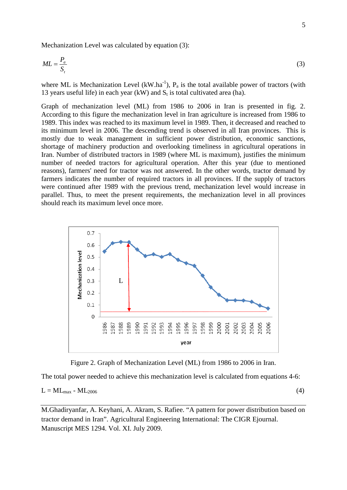Mechanization Level was calculated by equation (3):

$$
ML = \frac{P_a}{S_t} \tag{3}
$$

where ML is Mechanization Level (kW.ha<sup>-1</sup>),  $P_a$  is the total available power of tractors (with 13 years useful life) in each year (kW) and  $S_t$  is total cultivated area (ha).

Graph of mechanization level (ML) from 1986 to 2006 in Iran is presented in fig. 2. According to this figure the mechanization level in Iran agriculture is increased from 1986 to 1989. This index was reached to its maximum level in 1989. Then, it decreased and reached to its minimum level in 2006. The descending trend is observed in all Iran provinces. This is mostly due to weak management in sufficient power distribution, economic sanctions, shortage of machinery production and overlooking timeliness in agricultural operations in Iran. Number of distributed tractors in 1989 (where ML is maximum), justifies the minimum number of needed tractors for agricultural operation. After this year (due to mentioned reasons), farmers' need for tractor was not answered. In the other words, tractor demand by farmers indicates the number of required tractors in all provinces. If the supply of tractors were continued after 1989 with the previous trend, mechanization level would increase in parallel. Thus, to meet the present requirements, the mechanization level in all provinces should reach its maximum level once more.



Figure 2. Graph of Mechanization Level (ML) from 1986 to 2006 in Iran.

The total power needed to achieve this mechanization level is calculated from equations 4-6:

 $L = ML_{\text{max}} - ML_{2006}$  (4)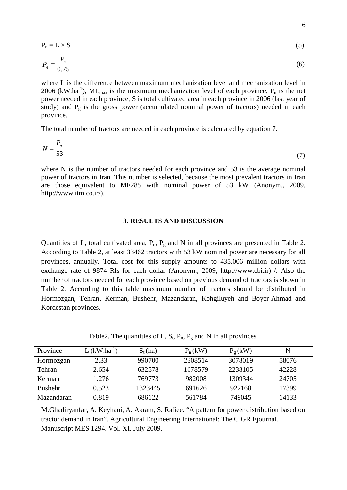$$
P_n = L \times S \tag{5}
$$

$$
P_g = \frac{P_n}{0.75} \tag{6}
$$

where L is the difference between maximum mechanization level and mechanization level in 2006 (kW.ha<sup>-1</sup>), ML<sub>max</sub> is the maximum mechanization level of each province,  $P_n$  is the net power needed in each province, S is total cultivated area in each province in 2006 (last year of study) and  $P_g$  is the gross power (accumulated nominal power of tractors) needed in each province.

The total number of tractors are needed in each province is calculated by equation 7.

$$
N = \frac{P_s}{53} \tag{7}
$$

where N is the number of tractors needed for each province and 53 is the average nominal power of tractors in Iran. This number is selected, because the most prevalent tractors in Iran are those equivalent to MF285 with nominal power of 53 kW (Anonym., 2009, http://www.itm.co.ir/).

### **3. RESULTS AND DISCUSSION**

Quantities of L, total cultivated area,  $P_n$ ,  $P_g$  and N in all provinces are presented in Table 2. According to Table 2, at least 33462 tractors with 53 kW nominal power are necessary for all provinces, annually. Total cost for this supply amounts to 435.006 million dollars with exchange rate of 9874 Rls for each dollar (Anonym., 2009, [http://www.cbi.ir\)](http://www.cbi.ir/) [/.](http://www.cbi.ir/) Also the number of tractors needed for each province based on previous demand of tractors is shown in Table 2. According to this table maximum number of tractors should be distributed in Hormozgan, Tehran, Kerman, Bushehr, Mazandaran, Kohgiluyeh and Boyer-Ahmad and Kordestan provinces.

Table2. The quantities of L,  $S_t$ ,  $P_n$ ,  $P_g$  and N in all provinces.

| Province       | $L$ (kW.ha <sup>-1</sup> ) | $S_t(ha)$ | $P_n(kW)$ | $P_{\varrho}$ (kW) | N     |  |
|----------------|----------------------------|-----------|-----------|--------------------|-------|--|
| Hormozgan      | 2.33                       | 990700    | 2308514   | 3078019            | 58076 |  |
| Tehran         | 2.654                      | 632578    | 1678579   | 2238105            | 42228 |  |
| Kerman         | 1.276                      | 769773    | 982008    | 1309344            | 24705 |  |
| <b>Bushehr</b> | 0.523                      | 1323445   | 691626    | 922168             | 17399 |  |
| Mazandaran     | 0.819                      | 686122    | 561784    | 749045             | 14133 |  |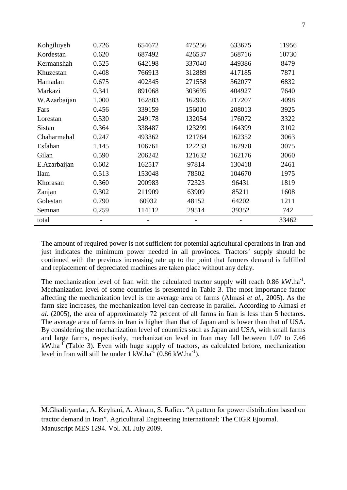| Kohgiluyeh   | 0.726 | 654672                   | 475256 | 633675 | 11956 |
|--------------|-------|--------------------------|--------|--------|-------|
| Kordestan    | 0.620 | 687492                   | 426537 | 568716 | 10730 |
| Kermanshah   | 0.525 | 642198                   | 337040 | 449386 | 8479  |
| Khuzestan    | 0.408 | 766913                   | 312889 | 417185 | 7871  |
| Hamadan      | 0.675 | 402345                   | 271558 | 362077 | 6832  |
| Markazi      | 0.341 | 891068                   | 303695 | 404927 | 7640  |
| W.Azarbaijan | 1.000 | 162883                   | 162905 | 217207 | 4098  |
| Fars         | 0.456 | 339159                   | 156010 | 208013 | 3925  |
| Lorestan     | 0.530 | 249178                   | 132054 | 176072 | 3322  |
| Sistan       | 0.364 | 338487                   | 123299 | 164399 | 3102  |
| Chaharmahal  | 0.247 | 493362                   | 121764 | 162352 | 3063  |
| Esfahan      | 1.145 | 106761                   | 122233 | 162978 | 3075  |
| Gilan        | 0.590 | 206242                   | 121632 | 162176 | 3060  |
| E.Azarbaijan | 0.602 | 162517                   | 97814  | 130418 | 2461  |
| <b>Ilam</b>  | 0.513 | 153048                   | 78502  | 104670 | 1975  |
| Khorasan     | 0.360 | 200983                   | 72323  | 96431  | 1819  |
| Zanjan       | 0.302 | 211909                   | 63909  | 85211  | 1608  |
| Golestan     | 0.790 | 60932                    | 48152  | 64202  | 1211  |
| Semnan       | 0.259 | 114112                   | 29514  | 39352  | 742   |
| total        |       | $\overline{\phantom{0}}$ |        |        | 33462 |

The amount of required power is not sufficient for potential agricultural operations in Iran and just indicates the minimum power needed in all provinces. Tractors' supply should be continued with the previous increasing rate up to the point that farmers demand is fulfilled and replacement of depreciated machines are taken place without any delay.

The mechanization level of Iran with the calculated tractor supply will reach  $0.86 \text{ kW.ha}^{-1}$ . Mechanization level of some countries is presented in Table 3. The most importance factor affecting the mechanization level is the average area of farms (Almasi *et al.,* 2005). As the farm size increases, the mechanization level can decrease in parallel. According to Almasi *et al.* (2005), the area of approximately 72 percent of all farms in Iran is less than 5 hectares. The average area of farms in Iran is higher than that of Japan and is lower than that of USA. By considering the mechanization level of countries such as Japan and USA, with small farms and large farms, respectively, mechanization level in Iran may fall between 1.07 to 7.46  $kW.ha^{-1}$  (Table 3). Even with huge supply of tractors, as calculated before, mechanization level in Iran will still be under  $1 \text{ kW.ha}^{-1} (0.86 \text{ kW.ha}^{-1})$ .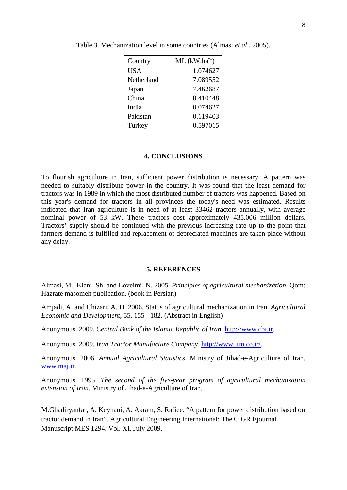| Country    | $ML (kW.ha^{-1})$ |
|------------|-------------------|
| <b>USA</b> | 1.074627          |
| Netherland | 7.089552          |
| Japan      | 7.462687          |
| China      | 0.410448          |
| India      | 0.074627          |
| Pakistan   | 0.119403          |
| Turkey     | 0.597015          |

Table 3. Mechanization level in some countries (Almasi *et al*., 2005).

## **4. CONCLUSIONS**

To flourish agriculture in Iran, sufficient power distribution is necessary. A pattern was needed to suitably distribute power in the country. It was found that the least demand for tractors was in 1989 in which the most distributed number of tractors was happened. Based on this year's demand for tractors in all provinces the today's need was estimated. Results indicated that Iran agriculture is in need of at least 33462 tractors annually, with average nominal power of 53 kW. These tractors cost approximately 435.006 million dollars. Tractors' supply should be continued with the previous increasing rate up to the point that farmers demand is fulfilled and replacement of depreciated machines are taken place without any delay.

#### **5. REFERENCES**

Almasi, M., Kiani, Sh. and Loveimi, N. 2005. *Principles of agricultural mechanization*. Qom: Hazrate masomeh publication. (book in Persian)

Amjadi, A. and Chizari, A. H. 2006. Status of agricultural mechanization in Iran. *Agricultural Economic and Development*, 55, 155 - 182. (Abstract in English)

Anonymous. 2009. *Central Bank of the Islamic Republic of Iran*. [http://www.cbi.ir.](http://www.cbi.ir/)

Anonymous. 2009. *Iran Tractor Manufacture Company*. [http://www.itm.co.ir/.](http://www.itm.co.ir/)

Anonymous. 2006. *Annual Agricultural Statistics.* Ministry of Jihad-e-Agriculture of Iran. [www.maj.ir.](http://www.maj.ir/)

Anonymous. 1995. *The second of the five-year program of agricultural mechanization extension of Iran*. Ministry of Jihad-e-Agriculture of Iran.